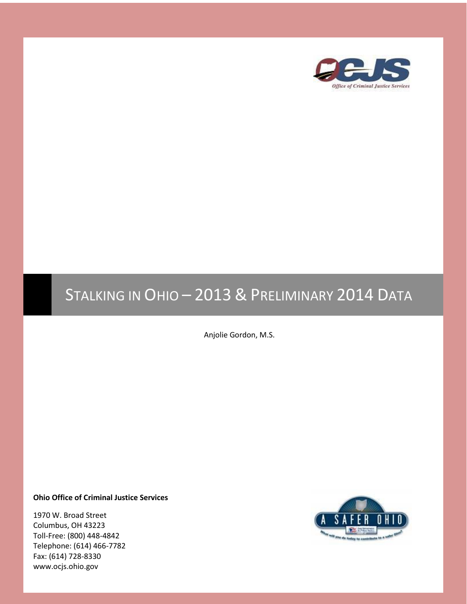

# STALKING IN OHIO – 2013 & PRELIMINARY 2014 DATA

Anjolie Gordon, M.S.

**Ohio Office of Criminal Justice Services**

1970 W. Broad Street Columbus, OH 43223 Toll-Free: (800) 448-4842 Telephone: (614) 466-7782 Fax: (614) 728-8330 www.ocjs.ohio.gov

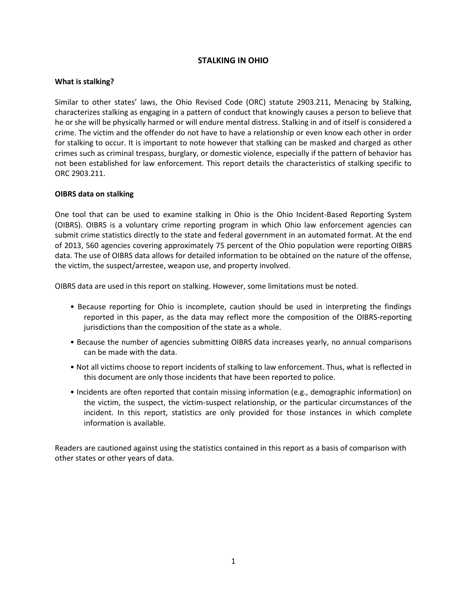## **STALKING IN OHIO**

#### **What is stalking?**

Similar to other states' laws, the Ohio Revised Code (ORC) statute 2903.211, Menacing by Stalking, characterizes stalking as engaging in a pattern of conduct that knowingly causes a person to believe that he or she will be physically harmed or will endure mental distress. Stalking in and of itself is considered a crime. The victim and the offender do not have to have a relationship or even know each other in order for stalking to occur. It is important to note however that stalking can be masked and charged as other crimes such as criminal trespass, burglary, or domestic violence, especially if the pattern of behavior has not been established for law enforcement. This report details the characteristics of stalking specific to ORC 2903.211.

#### **OIBRS data on stalking**

One tool that can be used to examine stalking in Ohio is the Ohio Incident-Based Reporting System (OIBRS). OIBRS is a voluntary crime reporting program in which Ohio law enforcement agencies can submit crime statistics directly to the state and federal government in an automated format. At the end of 2013, 560 agencies covering approximately 75 percent of the Ohio population were reporting OIBRS data. The use of OIBRS data allows for detailed information to be obtained on the nature of the offense, the victim, the suspect/arrestee, weapon use, and property involved.

OIBRS data are used in this report on stalking. However, some limitations must be noted.

- Because reporting for Ohio is incomplete, caution should be used in interpreting the findings reported in this paper, as the data may reflect more the composition of the OIBRS-reporting jurisdictions than the composition of the state as a whole.
- Because the number of agencies submitting OIBRS data increases yearly, no annual comparisons can be made with the data.
- Not all victims choose to report incidents of stalking to law enforcement. Thus, what is reflected in this document are only those incidents that have been reported to police.
- Incidents are often reported that contain missing information (e.g., demographic information) on the victim, the suspect, the victim-suspect relationship, or the particular circumstances of the incident. In this report, statistics are only provided for those instances in which complete information is available.

Readers are cautioned against using the statistics contained in this report as a basis of comparison with other states or other years of data.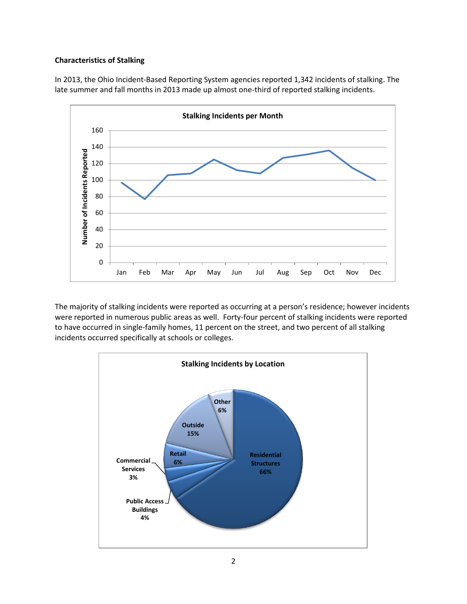#### **Characteristics of Stalking**

In 2013, the Ohio Incident-Based Reporting System agencies reported 1,342 incidents of stalking. The late summer and fall months in 2013 made up almost one-third of reported stalking incidents.



The majority of stalking incidents were reported as occurring at a person's residence; however incidents were reported in numerous public areas as well. Forty-four percent of stalking incidents were reported to have occurred in single-family homes, 11 percent on the street, and two percent of all stalking incidents occurred specifically at schools or colleges.

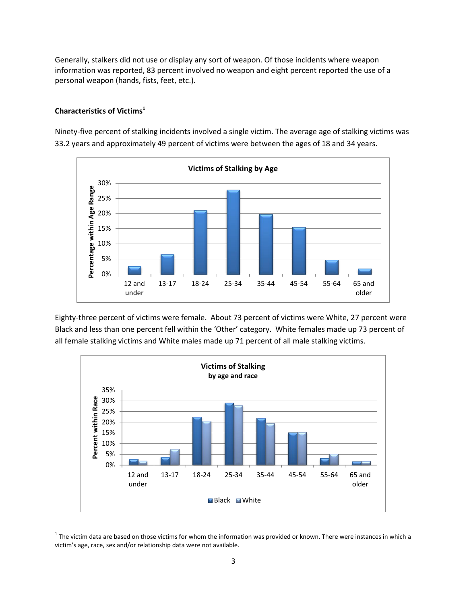Generally, stalkers did not use or display any sort of weapon. Of those incidents where weapon information was reported, 83 percent involved no weapon and eight percent reported the use of a personal weapon (hands, fists, feet, etc.).

## **Characteristics of Victims<sup>1</sup>**

Ninety-five percent of stalking incidents involved a single victim. The average age of stalking victims was 33.2 years and approximately 49 percent of victims were between the ages of 18 and 34 years.



Eighty-three percent of victims were female. About 73 percent of victims were White, 27 percent were Black and less than one percent fell within the 'Other' category. White females made up 73 percent of all female stalking victims and White males made up 71 percent of all male stalking victims.



 $\overline{\phantom{a}}$  $1$  The victim data are based on those victims for whom the information was provided or known. There were instances in which a victim's age, race, sex and/or relationship data were not available.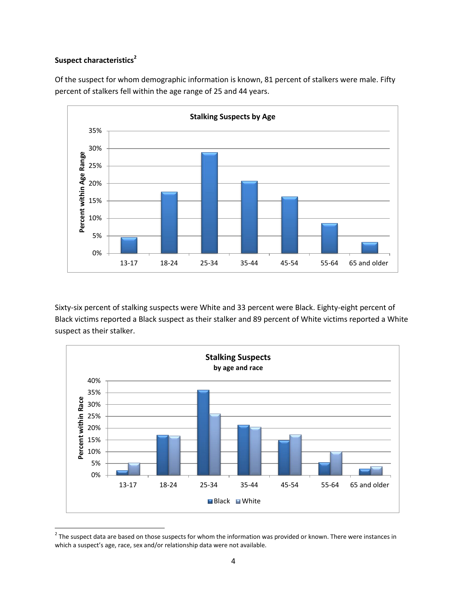# **Suspect characteristics<sup>2</sup>**

Of the suspect for whom demographic information is known, 81 percent of stalkers were male. Fifty percent of stalkers fell within the age range of 25 and 44 years.



Sixty-six percent of stalking suspects were White and 33 percent were Black. Eighty-eight percent of Black victims reported a Black suspect as their stalker and 89 percent of White victims reported a White suspect as their stalker.



<sup>&</sup>lt;u>2</u><br><sup>2</sup> The suspect data are based on those suspects for whom the information was provided or known. There were instances in which a suspect's age, race, sex and/or relationship data were not available.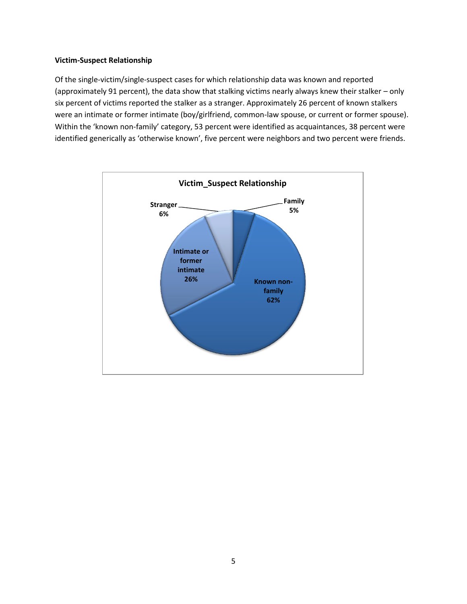#### **Victim-Suspect Relationship**

Of the single-victim/single-suspect cases for which relationship data was known and reported (approximately 91 percent), the data show that stalking victims nearly always knew their stalker – only six percent of victims reported the stalker as a stranger. Approximately 26 percent of known stalkers were an intimate or former intimate (boy/girlfriend, common-law spouse, or current or former spouse). Within the 'known non-family' category, 53 percent were identified as acquaintances, 38 percent were identified generically as 'otherwise known', five percent were neighbors and two percent were friends.

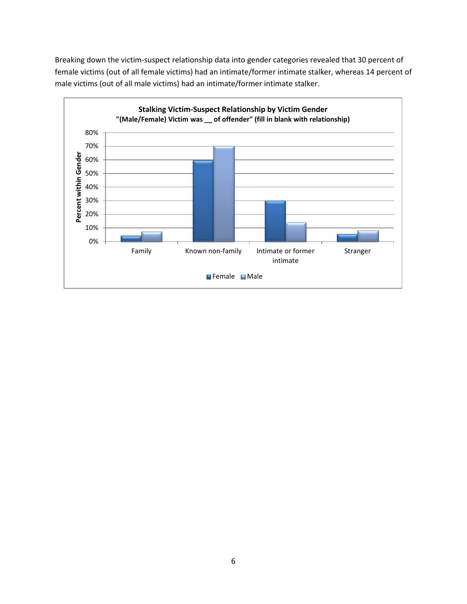Breaking down the victim-suspect relationship data into gender categories revealed that 30 percent of female victims (out of all female victims) had an intimate/former intimate stalker, whereas 14 percent of male victims (out of all male victims) had an intimate/former intimate stalker.

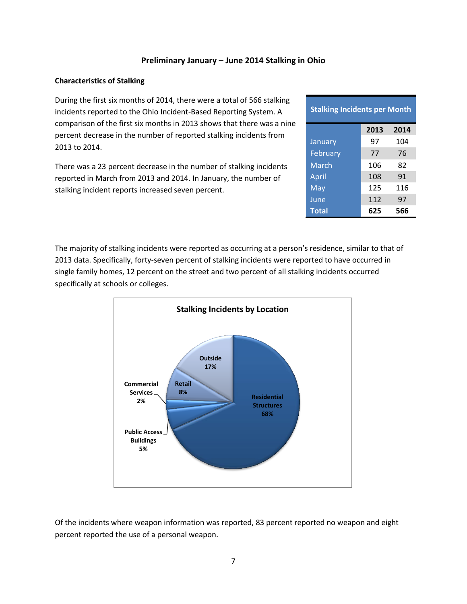### **Preliminary January – June 2014 Stalking in Ohio**

#### **Characteristics of Stalking**

During the first six months of 2014, there were a total of 566 stalking incidents reported to the Ohio Incident-Based Reporting System. A comparison of the first six months in 2013 shows that there was a nine percent decrease in the number of reported stalking incidents from 2013 to 2014.

There was a 23 percent decrease in the number of stalking incidents reported in March from 2013 and 2014. In January, the number of stalking incident reports increased seven percent.

| <b>Stalking Incidents per Month</b> |      |      |
|-------------------------------------|------|------|
|                                     | 2013 | 2014 |
| January                             | 97   | 104  |
| February                            | 77   | 76   |
| March                               | 106  | 82   |
| April                               | 108  | 91   |
| May                                 | 125  | 116  |
| June                                | 112  | 97   |
| <b>Total</b>                        | 625  | 566  |

The majority of stalking incidents were reported as occurring at a person's residence, similar to that of 2013 data. Specifically, forty-seven percent of stalking incidents were reported to have occurred in single family homes, 12 percent on the street and two percent of all stalking incidents occurred specifically at schools or colleges.



Of the incidents where weapon information was reported, 83 percent reported no weapon and eight percent reported the use of a personal weapon.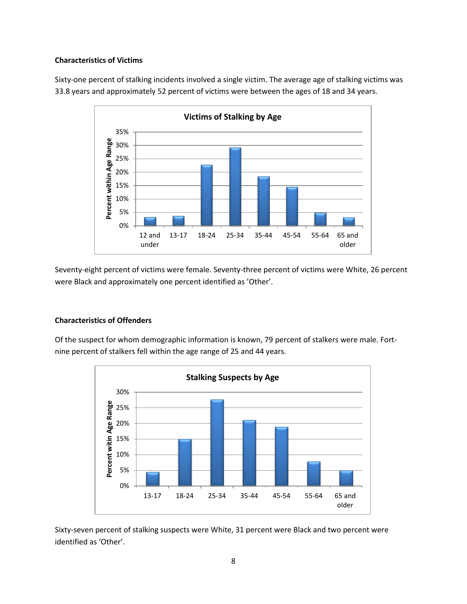#### **Characteristics of Victims**

Sixty-one percent of stalking incidents involved a single victim. The average age of stalking victims was 33.8 years and approximately 52 percent of victims were between the ages of 18 and 34 years.



Seventy-eight percent of victims were female. Seventy-three percent of victims were White, 26 percent were Black and approximately one percent identified as 'Other'.

# **Characteristics of Offenders**

Of the suspect for whom demographic information is known, 79 percent of stalkers were male. Fortnine percent of stalkers fell within the age range of 25 and 44 years.



Sixty-seven percent of stalking suspects were White, 31 percent were Black and two percent were identified as 'Other'.